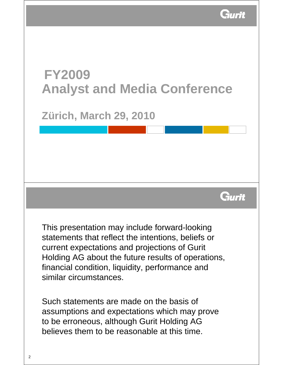

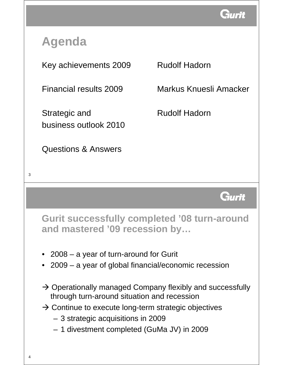

# **Agenda**

Key achievements 2009 Rudolf Hadorn

Strategic and Rudolf Hadorn business outlook 2010

Questions & Answers

Financial results 2009 Markus Knuesli Amacker



**Gurit successfully completed '08 turn-around and mastered '09 recession by…**

- 2008 a year of turn-around for Gurit
- 2009 a year of global financial/economic recession
- $\rightarrow$  Operationally managed Company flexibly and successfully through turn-around situation and recession
- $\rightarrow$  Continue to execute long-term strategic objectives
	- 3 strategic acquisitions in 2009
	- 1 divestment completed (GuMa JV) in 2009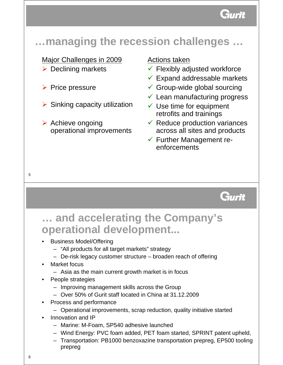

### **…managing the recession challenges …**

### Major Challenges in 2009

- $\triangleright$  Declining markets
- $\triangleright$  Price pressure
- $\triangleright$  Sinking capacity utilization
- $\triangleright$  Achieve ongoing operational improvements

### Actions taken

- $\checkmark$  Flexibly adjusted workforce
- $\checkmark$  Expand addressable markets
- $\checkmark$  Group-wide global sourcing
- $\checkmark$  Lean manufacturing progress
- $\checkmark$  Use time for equipment retrofits and trainings
- $\checkmark$  Reduce production variances across all sites and products
- $\checkmark$  Further Management reenforcements

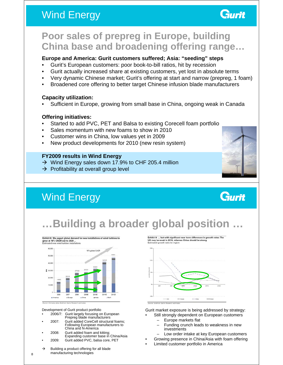### Wind Energy



### **Poor sales of prepreg in Europe, building China base and broadening offering range…**

#### **Europe and America: Gurit customers suffered; Asia: "seeding" steps**

- Gurit's European customers: poor book-to-bill ratios, hit by recession
- Gurit actually increased share at existing customers, yet lost in absolute terms
- Very dynamic Chinese market; Gurit's offering at start and narrow (prepreg, 1 foam)
- Broadened core offering to better target Chinese infusion blade manufacturers

#### **Capacity utilization:**

• Sufficient in Europe, growing from small base in China, ongoing weak in Canada

#### **Offering initiatives:**

- Started to add PVC, PET and Balsa to existing Corecell foam portfolio
- Sales momentum with new foams to show in 2010
- Customer wins in China, low values yet in 2009
- New product developments for 2010 (new resin system)

#### **FY2009 results in Wind Energy**

- $\rightarrow$  Wind Energy sales down 17.9% to CHF 205.4 million
- $\rightarrow$  Profitability at overall group level

# Wind Energy



Gurit

### **…Building a broader global position …**

Exhibit 8: We expect global demand for new installations of wind turbines to<br>grow at 16% CAGR out to 2020 ...<br>Estimated new wind turbine installations



Development of Gurit product portfolio

- 2006/7: Gurit largely focusing on European
- Prepreg blade manufacturers • 2007: Gurit added CoreCell structural foams; Following European manufacturers to
- China and N-America • 2008: Gurit added foam and kitting;
- Expanding customer base in China/Asia • 2009: Gurit added PVC, balsa core, PET
- $\rightarrow$  Building a product offering for all blade

manufacturing technologies

Exhibit 9: ... but with significant-near term differences in growth rates: The<br>US may be weak in 2010, whereas China should be strong Estimated growth rates by region



Gurit market exposure is being addressed by strategy:

- Still strongly dependent on European customers
	- Europe markets flat
	- Funding crunch leads to weakness in new investments
- Low order intake at key European customers
- Growing presence in China/Asia with foam offering
- Limited customer portfolio in America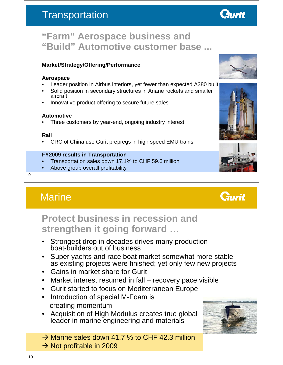### **Transportation**



### **"Farm" Aerospace business and "Build" Automotive customer base ...**

#### **Market/Strategy/Offering/Performance**

#### **Aerospace**

- Leader position in Airbus interiors, yet fewer than expected A380 built
- Solid position in secondary structures in Ariane rockets and smaller aircraft
- Innovative product offering to secure future sales

#### **Automotive**

Three customers by year-end, ongoing industry interest

#### **Rail**

• CRC of China use Gurit prepregs in high speed EMU trains

#### **FY2009 results in Transportation**

- Transportation sales down 17.1% to CHF 59.6 million
- Above group overall profitability

#### $\overline{Q}$

### **Marine**



### **Protect business in recession and strengthen it going forward …**

- Strongest drop in decades drives many production boat-builders out of business
- Super yachts and race boat market somewhat more stable as existing projects were finished; yet only few new projects
- Gains in market share for Gurit
- Market interest resumed in fall recovery pace visible
- Gurit started to focus on Mediterranean Europe
- Introduction of special M-Foam is creating momentum
- Acquisition of High Modulus creates true global leader in marine engineering and materials
- $\rightarrow$  Marine sales down 41.7 % to CHF 42.3 million
- $\rightarrow$  Not profitable in 2009







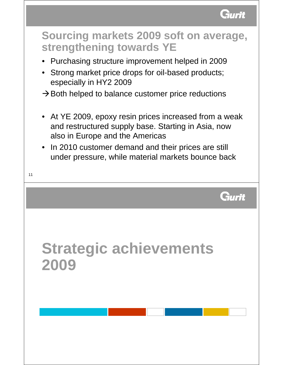

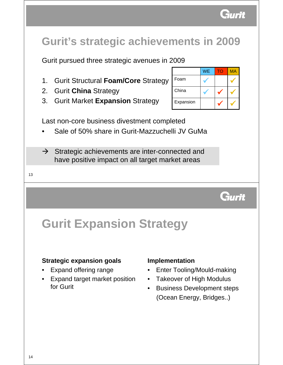

### **Gurit's strategic achievements in 2009**

Gurit pursued three strategic avenues in 2009

- 1. Gurit Structural **Foam/Core** Strategy
- 2. Gurit **China** Strategy
- 3. Gurit Market **Expansion** Strategy

|           | <b>WE</b> | TΩ | <b>MA</b> |
|-----------|-----------|----|-----------|
| Foam      |           |    |           |
| China     |           |    |           |
| Expansion |           |    |           |

Last non-core business divestment completed

- Sale of 50% share in Gurit-Mazzuchelli JV GuMa
- $\rightarrow$  Strategic achievements are inter-connected and have positive impact on all target market areas

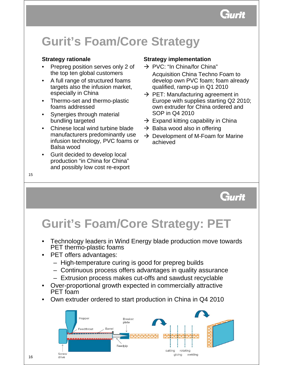Gurit

# **Gurit's Foam/Core Strategy**

### **Strategy rationale**

- Prepreg position serves only 2 of the top ten global customers
- A full range of structured foams targets also the infusion market, especially in China
- Thermo-set and thermo-plastic foams addressed
- Synergies through material bundling targeted
- Chinese local wind turbine blade manufacturers predominantly use infusion technology, PVC foams or Balsa wood
- Gurit decided to develop local production "in China for China" and possibly low cost re-export

### **Strategy implementation**

- $\rightarrow$  PVC: "In China/for China" Acquisition China Techno Foam to develop own PVC foam; foam already qualified, ramp-up in Q1 2010
- $\rightarrow$  PET: Manufacturing agreement in Europe with supplies starting Q2 2010; own extruder for China ordered and SOP in Q4 2010
- $\rightarrow$  Expand kitting capability in China
- $\rightarrow$  Balsa wood also in offering
- $\rightarrow$  Development of M-Foam for Marine achieved

Gurit

# **Gurit's Foam/Core Strategy: PET**

- Technology leaders in Wind Energy blade production move towards PET thermo-plastic foams
- PET offers advantages:
	- High-temperature curing is good for prepreg builds
	- Continuous process offers advantages in quality assurance
	- Extrusion process makes cut-offs and sawdust recyclable
- Over-proportional growth expected in commercially attractive PET foam
- Own extruder ordered to start production in China in Q4 2010

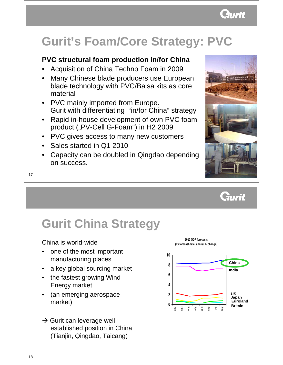

# **Gurit's Foam/Core Strategy: PVC**

### **PVC structural foam production in/for China**

- Acquisition of China Techno Foam in 2009
- Many Chinese blade producers use European blade technology with PVC/Balsa kits as core material
- PVC mainly imported from Europe. Gurit with differentiating "in/for China" strategy
- Rapid in-house development of own PVC foam product ("PV-Cell G-Foam") in H2 2009
- PVC gives access to many new customers
- Sales started in Q1 2010
- Capacity can be doubled in Qingdao depending on success.



17

#### Gurit **Gurit China Strategy 2010 GDP forecasts**  China is world-wide **(by forecast date; annual % change)** • one of the most important **10** manufacturing places **China 8** a key global sourcing market **India 6** • the fastest growing Wind Energy market **4** • (an emerging aerospace **2 US Japan Euroland** market) **0 BritainMar Jan Apr May Jun Jul Aug Feb**  $\rightarrow$  Gurit can leverage well established position in China (Tianjin, Qingdao, Taicang)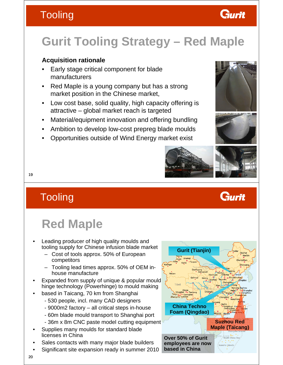### **Tooling**



### **Acquisition rationale**

- Early stage critical component for blade manufacturers
- Red Maple is a young company but has a strong market position in the Chinese market,
- Low cost base, solid quality, high capacity offering is attractive – global market reach is targeted
- Material/equipment innovation and offering bundling
- Ambition to develop low-cost prepreg blade moulds
- Opportunities outside of Wind Energy market exist



Gurit



Gurit



19

### **Tooling**

# **Red Maple**

- Leading producer of high quality moulds and tooling supply for Chinese infusion blade market
	- Cost of tools approx. 50% of European competitors
	- Tooling lead times approx. 50% of OEM inhouse manufacture
- Expanded from supply of unique & popular mould hinge technology (Powerhinge) to mould making
- based in Taicang, 70 km from Shanghai
	- 530 people, incl. many CAD designers
	- 9000m2 factory all critical steps in-house
	- 60m blade mould transport to Shanghai port
	- 36m x 8m CNC paste model cutting equipment
- Supplies many moulds for standard blade licenses in China
- Sales contacts with many major blade builders
- Significant site expansion ready in summer 2010

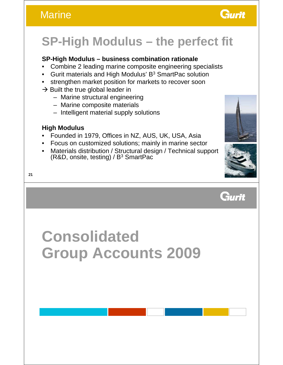### **Marine**



# **SP-High Modulus – the perfect fit**

### **SP-High Modulus – business combination rationale**

- Combine 2 leading marine composite engineering specialists
- Gurit materials and High Modulus'  $B<sup>3</sup>$  SmartPac solution
- strengthen market position for markets to recover soon
- $\rightarrow$  Built the true global leader in
	- Marine structural engineering
	- Marine composite materials
	- Intelligent material supply solutions

### **High Modulus**

- Founded in 1979, Offices in NZ, AUS, UK, USA, Asia
- Focus on customized solutions; mainly in marine sector
- Materials distribution / Structural design / Technical support  $(R&D,$  onsite, testing) /  $B<sup>3</sup>$  SmartPac







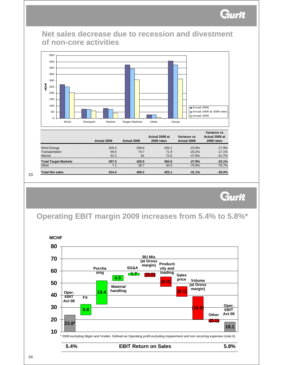

### **Net sales decrease due to recession and divestment of non-core activities**



|                             | Actual 2009 | Actual 2008 | Actual 2008 at<br>2009 rates | Variance vs<br>Actual 2008 | Variance vs<br>Actual 2008 at<br>2009 rates |
|-----------------------------|-------------|-------------|------------------------------|----------------------------|---------------------------------------------|
| Wind Energy                 | 205.4       | 269.8       | 250.1                        | $-23.9%$                   | $-17.9%$                                    |
| Transportation              | 59.6        | 74.7        | 71.9                         | $-20.2%$                   | $-17.1%$                                    |
| Marine                      | 42.3        | 81          | 72.6                         | $-47.8%$                   | $-41.7%$                                    |
| <b>Total Target Markets</b> | 307.3       | 425.5       | 394.6                        | $-27.8%$                   | $-22.1%$                                    |
| Other                       | 7.1         | 30.7        | 30.5                         | $-76.9%$                   | $-76.7%$                                    |
| <b>Total Net sales</b>      | 314.4       | 456.2       | 425.1                        | $-31.1%$                   | $-26.0%$                                    |

23



**Operating EBIT margin 2009 increases from 5.4% to 5.8%\***



#### **5.4% EBIT Return on Sales 5.8%**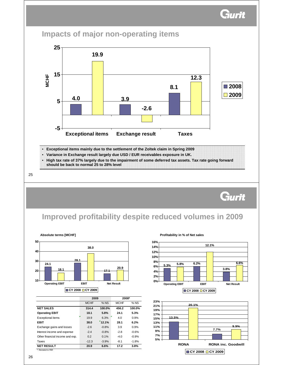Gurit



|                                 | 2009        |         | 2008*       |         |  |
|---------------------------------|-------------|---------|-------------|---------|--|
|                                 | <b>MCHF</b> | $%$ NS  | <b>MCHF</b> | $%$ NS  |  |
| <b>NET SALES</b>                | 314.4       | 100.0%  | 456.2       | 100.0%  |  |
| <b>Operating EBIT</b>           | 18.1        | 5.8%    | 24.1        | 5.3%    |  |
| <b>Exceptional items</b>        | 19.9        | 6.3%    | 4.0         | 0.9%    |  |
| <b>EBIT</b>                     | 38.0        | 12.1%   | 28.1        | 6.2%    |  |
| Exchange gains and losses       | $-2.6$      | $-0.8%$ | 3.9         | 0.9%    |  |
| Interest income and expense     | $-2.4$      | $-0.8%$ | $-2.8$      | $-0.6%$ |  |
| Other financial income and exp. | 0.2         | 0.1%    | $-4.0$      | $-0.9%$ |  |
| Taxes                           | $-12.3$     | $-3.9%$ | $-8.1$      | $-1.8%$ |  |
| <b>NET RESULT</b>               | 20.9        | 6.6%    | 17.2        | 3.8%    |  |

ed to FFF



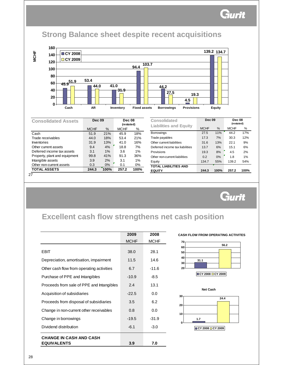### **Strong Balance sheet despite recent acquisitions**

**MCHF**



| <b>Consolidated Assets</b>    | <b>Dec 09</b> |      | <b>Dec 08</b><br>(restated) |      |
|-------------------------------|---------------|------|-----------------------------|------|
|                               | <b>MCHF</b>   | %    | <b>MCHF</b>                 | %    |
| Cash                          | 51.9          | 21%  | 45.9                        | 18%  |
| Trade receivables             | 44.0          | 18%  | 53.4                        | 21%  |
| Inventories                   | 31.9          | 13%  | 41.0                        | 16%  |
| Other current assets          | 9.4           | 4%   | 18.8                        | 7%   |
| Deferred income tax assets    | 3.1           | 1%   | 3.6                         | 1%   |
| Property, plant and equipment | 99.8          | 41%  | 91.3                        | 36%  |
| Intangible assets             | 3.9           | 2%   | 3.1                         | 1%   |
| Other non-current assets      | 0.3           | 0%   | 0.1                         | 0%   |
| <b>TOTAL ASSETS</b>           | 244.3         | 100% | 257.2                       | 100% |
| 27                            |               |      |                             |      |

| <b>Consolidated</b>             | <b>Dec 09</b> |      | <b>Dec 08</b><br>(restated) |      |
|---------------------------------|---------------|------|-----------------------------|------|
| <b>Liabilities and Equity</b>   | <b>MCHF</b>   | $\%$ | <b>MCHF</b>                 | %    |
| <b>Borrowings</b>               | 27.5          | 11%  | 44.2                        | 17%  |
| Trade payables                  | 17.3          | 7%   | 30.3                        | 12%  |
| Other current liabilities       | 31.6          | 13%  | 22.1                        | 9%   |
| Deferred income tax liabilities | 13.7          | 6%   | 15.1                        | 6%   |
| Provisions                      | 19.3          | 8%   | 4.5                         | 2%   |
| Other non-current liabilities   | 0.2           | 0%   | 1.8                         | 1%   |
| Equity                          | 134.7         | 55%  | 139.2                       | 54%  |
| <b>TOTAL LIABILITIES AND</b>    |               |      |                             |      |
| <b>EQUITY</b>                   | 244.3         | 100% | 257.2                       | 100% |

27



### **Excellent cash flow strengthens net cash position**

|                                           | 2009        | 2008        |
|-------------------------------------------|-------------|-------------|
|                                           | <b>MCHF</b> | <b>MCHF</b> |
| EBIT                                      | 38.0        | 28.1        |
| Depreciation, amortisation, impairment    | 11.5        | 14.6        |
| Other cash flow from operating activities | 6.7         | $-11.6$     |
| Purchase of PPE and Intangibles           | $-10.9$     | $-8.5$      |
| Proceeds from sale of PPE and Intangibles | 2.4         | 13.1        |
| Acquisition of subsidiaries               | $-22.5$     | 0.0         |
| Proceeds from disposal of subsidiaries    | 3.5         | 6.2         |
| Change in non-current other receivables   | 0.8         | 0.0         |
| Change in borrowings                      | $-19.5$     | $-31.9$     |
| Dividend distribution                     | $-6.1$      | $-3.0$      |
| <b>CHANGE IN CASH AND CASH</b>            |             |             |
| <b>EQUIVALENTS</b>                        | 3.9         | 7.0         |

#### **CASH FLOW FROM OPERATING ACTIVITES**



**CY 2008 CY 2009**



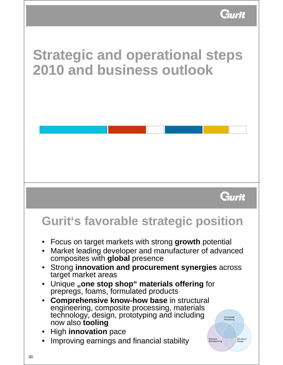

# **Strategic and operational steps 2010 and business outlook**



- Focus on target markets with strong **growth** potential
- Market leading developer and manufacturer of advanced composites with **global** presence
- Strong **innovation and procurement synergies** across target market areas
- **Unique "one stop shop" materials offering for** prepregs, foams, formulated products
- **Comprehensive know-how base** in structural engineering, composite processing, materials technology, design, prototyping and including now also **tooling**
- High **innovation** pace
- Improving earnings and financial stability



Gurit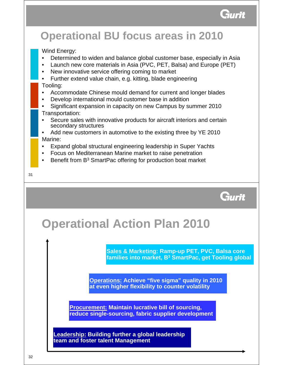

### **Operational BU focus areas in 2010** Wind Energy: • Determined to widen and balance global customer base, especially in Asia • Launch new core materials in Asia (PVC, PET, Balsa) and Europe (PET) New innovative service offering coming to market • Further extend value chain, e.g. kitting, blade engineering Tooling: • Accommodate Chinese mould demand for current and longer blades • Develop international mould customer base in addition • Significant expansion in capacity on new Campus by summer 2010 Transportation: Secure sales with innovative products for aircraft interiors and certain secondary structures • Add new customers in automotive to the existing three by YE 2010 Marine: • Expand global structural engineering leadership in Super Yachts • Focus on Mediterranean Marine market to raise penetration Benefit from B<sup>3</sup> SmartPac offering for production boat market 31 Gurit

# **Operational Action Plan 2010**

**Sales & Marketing: Ramp-up PET, PVC, Balsa core families into market, B3 SmartPac, get Tooling global** 

**Operations: Achieve "five sigma" quality in 2010 at even higher flexibility to counter volatility** 

**Procurement: Maintain lucrative bill of sourcing, reduce single-sourcing, fabric supplier development** 

**Leadership: Building further a global leadership team and foster talent Management**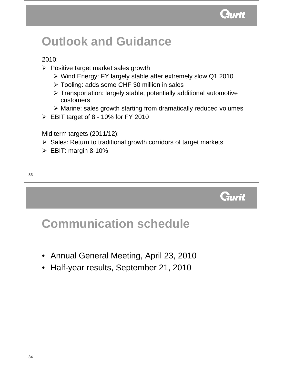

# **Outlook and Guidance**

### 2010:

- $\triangleright$  Positive target market sales growth
	- ¾ Wind Energy: FY largely stable after extremely slow Q1 2010
	- ¾ Tooling: adds some CHF 30 million in sales
	- ¾ Transportation: largely stable, potentially additional automotive customers
	- ¾ Marine: sales growth starting from dramatically reduced volumes
- $\triangleright$  EBIT target of 8 10% for FY 2010

Mid term targets (2011/12):

- $\triangleright$  Sales: Return to traditional growth corridors of target markets
- $\triangleright$  EBIT: margin 8-10%

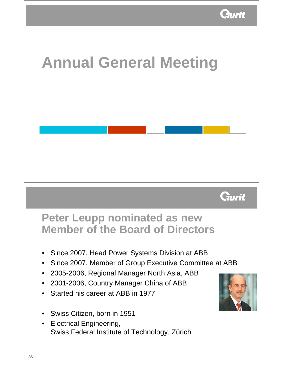

# **Annual General Meeting** Gurit **Peter Leupp nominated as new Member of the Board of Directors** • Since 2007, Head Power Systems Division at ABB • Since 2007, Member of Group Executive Committee at ABB • 2005-2006, Regional Manager North Asia, ABB • 2001-2006, Country Manager China of ABB • Started his career at ABB in 1977 • Swiss Citizen, born in 1951 • Electrical Engineering, Swiss Federal Institute of Technology, Zürich